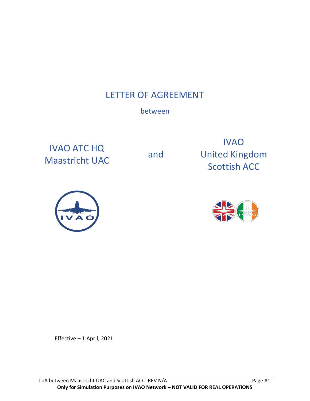# LETTER OF AGREEMENT

# between

IVAO ATC HQ Maastricht UAC and

IVAO United Kingdom Scottish ACC





Effective – 1 April, 2021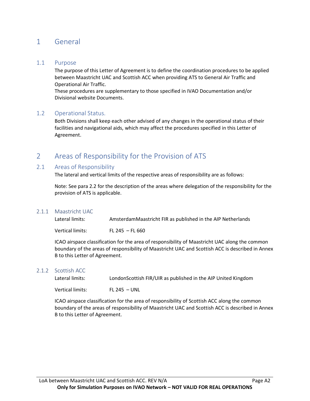## 1 General

## 1.1 Purpose

The purpose of this Letter of Agreement is to define the coordination procedures to be applied between Maastricht UAC and Scottish ACC when providing ATS to General Air Traffic and Operational Air Traffic.

These procedures are supplementary to those specified in IVAO Documentation and/or Divisional website Documents.

## 1.2 Operational Status.

Both Divisions shall keep each other advised of any changes in the operational status of their facilities and navigational aids, which may affect the procedures specified in this Letter of Agreement.

# 2 Areas of Responsibility for the Provision of ATS

## 2.1 Areas of Responsibility

The lateral and vertical limits of the respective areas of responsibility are as follows:

Note: See para 2.2 for the description of the areas where delegation of the responsibility for the provision of ATS is applicable.

## 2.1.1 Maastricht UAC

| Lateral limits:  | AmsterdamMaastricht FIR as published in the AIP Netherlands |
|------------------|-------------------------------------------------------------|
| Vertical limits: | FL 245 – FL 660                                             |

ICAO airspace classification for the area of responsibility of Maastricht UAC along the common boundary of the areas of responsibility of Maastricht UAC and Scottish ACC is described in Annex B to this Letter of Agreement.

#### 2.1.2 Scottish ACC

Lateral limits: LondonScottish FIR/UIR as published in the AIP United Kingdom

Vertical limits: FL 245 – UNL

ICAO airspace classification for the area of responsibility of Scottish ACC along the common boundary of the areas of responsibility of Maastricht UAC and Scottish ACC is described in Annex B to this Letter of Agreement.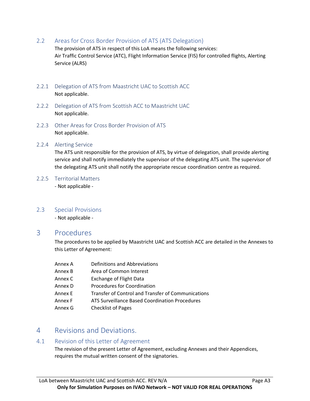2.2 Areas for Cross Border Provision of ATS (ATS Delegation)

The provision of ATS in respect of this LoA means the following services: Air Traffic Control Service (ATC), Flight Information Service (FIS) for controlled flights, Alerting Service (ALRS)

- 2.2.1 Delegation of ATS from Maastricht UAC to Scottish ACC Not applicable.
- 2.2.2 Delegation of ATS from Scottish ACC to Maastricht UAC Not applicable.
- 2.2.3 Other Areas for Cross Border Provision of ATS Not applicable.
- 2.2.4 Alerting Service

The ATS unit responsible for the provision of ATS, by virtue of delegation, shall provide alerting service and shall notify immediately the supervisor of the delegating ATS unit. The supervisor of the delegating ATS unit shall notify the appropriate rescue coordination centre as required.

2.2.5 Territorial Matters

- Not applicable -

2.3 Special Provisions

- Not applicable -

## 3 Procedures

The procedures to be applied by Maastricht UAC and Scottish ACC are detailed in the Annexes to this Letter of Agreement:

- Annex A Definitions and Abbreviations Annex B Area of Common Interest Annex C Exchange of Flight Data Annex D Procedures for Coordination Annex E Transfer of Control and Transfer of Communications Annex F ATS Surveillance Based Coordination Procedures
- Annex G Checklist of Pages

# 4 Revisions and Deviations.

## 4.1 Revision of this Letter of Agreement

The revision of the present Letter of Agreement, excluding Annexes and their Appendices, requires the mutual written consent of the signatories.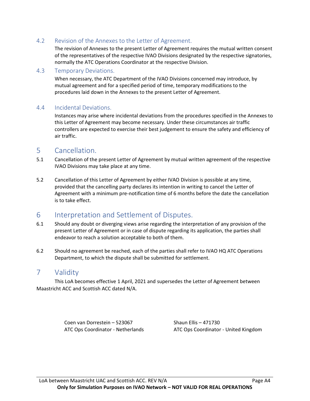## 4.2 Revision of the Annexes to the Letter of Agreement.

The revision of Annexes to the present Letter of Agreement requires the mutual written consent of the representatives of the respective IVAO Divisions designated by the respective signatories, normally the ATC Operations Coordinator at the respective Division.

## 4.3 Temporary Deviations.

When necessary, the ATC Department of the IVAO Divisions concerned may introduce, by mutual agreement and for a specified period of time, temporary modifications to the procedures laid down in the Annexes to the present Letter of Agreement.

## 4.4 Incidental Deviations.

Instances may arise where incidental deviations from the procedures specified in the Annexes to this Letter of Agreement may become necessary. Under these circumstances air traffic controllers are expected to exercise their best judgement to ensure the safety and efficiency of air traffic.

## 5 Cancellation.

- 5.1 Cancellation of the present Letter of Agreement by mutual written agreement of the respective IVAO Divisions may take place at any time.
- 5.2 Cancellation of this Letter of Agreement by either IVAO Division is possible at any time, provided that the cancelling party declares its intention in writing to cancel the Letter of Agreement with a minimum pre-notification time of 6 months before the date the cancellation is to take effect.

## 6 Interpretation and Settlement of Disputes.

- 6.1 Should any doubt or diverging views arise regarding the interpretation of any provision of the present Letter of Agreement or in case of dispute regarding its application, the parties shall endeavor to reach a solution acceptable to both of them.
- 6.2 Should no agreement be reached, each of the parties shall refer to IVAO HQ ATC Operations Department, to which the dispute shall be submitted for settlement.

## 7 Validity

This LoA becomes effective 1 April, 2021 and supersedes the Letter of Agreement between Maastricht ACC and Scottish ACC dated N/A.

Coen van Dorrestein – 523067 Shaun Ellis – 471730

ATC Ops Coordinator - Netherlands ATC Ops Coordinator - United Kingdom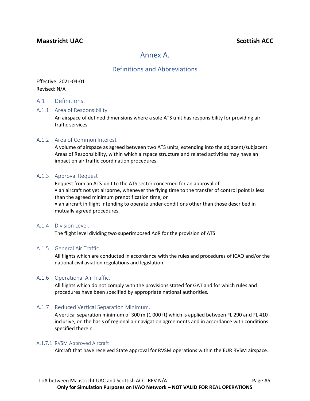## **Maastricht** UAC<sup>2</sup> **Scottish ACC**

## Annex A.

## Definitions and Abbreviations

Effective: 2021-04-01 Revised: N/A

## A.1 Definitions.

#### A.1.1 Area of Responsibility

An airspace of defined dimensions where a sole ATS unit has responsibility for providing air traffic services.

#### A.1.2 Area of Common Interest

A volume of airspace as agreed between two ATS units, extending into the adjacent/subjacent Areas of Responsibility, within which airspace structure and related activities may have an impact on air traffic coordination procedures.

#### A.1.3 Approval Request

Request from an ATS-unit to the ATS sector concerned for an approval of:

• an aircraft not yet airborne, whenever the flying time to the transfer of control point is less than the agreed minimum prenotification time, or

• an aircraft in flight intending to operate under conditions other than those described in mutually agreed procedures.

#### A.1.4 Division Level.

The flight level dividing two superimposed AoR for the provision of ATS.

#### A.1.5 General Air Traffic.

All flights which are conducted in accordance with the rules and procedures of ICAO and/or the national civil aviation regulations and legislation.

## A.1.6 Operational Air Traffic.

All flights which do not comply with the provisions stated for GAT and for which rules and procedures have been specified by appropriate national authorities.

## A.1.7 Reduced Vertical Separation Minimum.

A vertical separation minimum of 300 m (1 000 ft) which is applied between FL 290 and FL 410 inclusive, on the basis of regional air navigation agreements and in accordance with conditions specified therein.

#### A.1.7.1 RVSM Approved Aircraft

Aircraft that have received State approval for RVSM operations within the EUR RVSM airspace.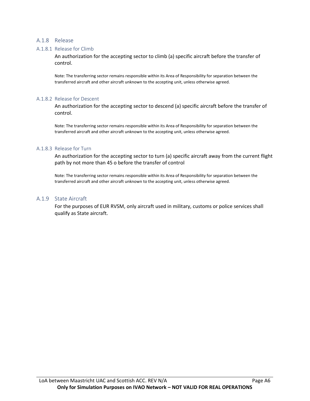#### A.1.8 Release

#### A.1.8.1 Release for Climb

An authorization for the accepting sector to climb (a) specific aircraft before the transfer of control.

Note: The transferring sector remains responsible within its Area of Responsibility for separation between the transferred aircraft and other aircraft unknown to the accepting unit, unless otherwise agreed.

#### A.1.8.2 Release for Descent

An authorization for the accepting sector to descend (a) specific aircraft before the transfer of control.

Note: The transferring sector remains responsible within its Area of Responsibility for separation between the transferred aircraft and other aircraft unknown to the accepting unit, unless otherwise agreed.

#### A.1.8.3 Release for Turn

An authorization for the accepting sector to turn (a) specific aircraft away from the current flight path by not more than 45 o before the transfer of control

Note: The transferring sector remains responsible within its Area of Responsibility for separation between the transferred aircraft and other aircraft unknown to the accepting unit, unless otherwise agreed.

#### A.1.9 State Aircraft

For the purposes of EUR RVSM, only aircraft used in military, customs or police services shall qualify as State aircraft.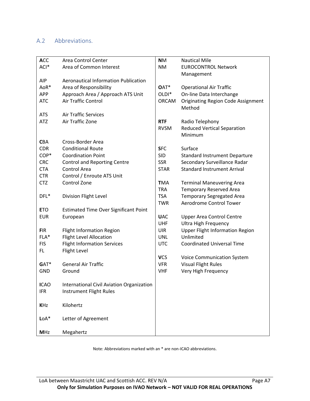## A.2 Abbreviations.

| <b>ACC</b>  | Area Control Center                          | <b>NM</b>         | <b>Nautical Mile</b>                      |
|-------------|----------------------------------------------|-------------------|-------------------------------------------|
| ACI*        | Area of Common Interest                      | <b>NM</b>         | <b>EUROCONTROL Network</b>                |
|             |                                              |                   | Management                                |
| <b>AIP</b>  | <b>Aeronautical Information Publication</b>  |                   |                                           |
| AoR*        | Area of Responsibility                       | OAT*              | <b>Operational Air Traffic</b>            |
| <b>APP</b>  | Approach Area / Approach ATS Unit            | OLDI <sup>*</sup> | On-line Data Interchange                  |
| <b>ATC</b>  | Air Traffic Control                          | <b>ORCAM</b>      | <b>Originating Region Code Assignment</b> |
|             |                                              |                   | Method                                    |
| <b>ATS</b>  | <b>Air Traffic Services</b>                  |                   |                                           |
| <b>ATZ</b>  | Air Traffic Zone                             | <b>RTF</b>        | Radio Telephony                           |
|             |                                              | <b>RVSM</b>       | <b>Reduced Vertical Separation</b>        |
|             |                                              |                   | Minimum                                   |
| <b>CBA</b>  | Cross-Border Area                            |                   |                                           |
| <b>CDR</b>  | <b>Conditional Route</b>                     | <b>SFC</b>        | Surface                                   |
| COP*        | <b>Coordination Point</b>                    | <b>SID</b>        | <b>Standard Instrument Departure</b>      |
| <b>CRC</b>  | <b>Control and Reporting Centre</b>          | <b>SSR</b>        | Secondary Surveillance Radar              |
| <b>CTA</b>  | Control Area                                 | <b>STAR</b>       | <b>Standard Instrument Arrival</b>        |
| <b>CTR</b>  | Control / Enroute ATS Unit                   |                   |                                           |
| <b>CTZ</b>  | Control Zone                                 | <b>TMA</b>        | <b>Terminal Maneuvering Area</b>          |
|             |                                              | <b>TRA</b>        | <b>Temporary Reserved Area</b>            |
| DFL*        | Division Flight Level                        | <b>TSA</b>        | <b>Temporary Segregated Area</b>          |
|             |                                              | <b>TWR</b>        | Aerodrome Control Tower                   |
| <b>ETO</b>  | <b>Estimated Time Over Significant Point</b> |                   |                                           |
| <b>EUR</b>  | European                                     | <b>UAC</b>        | <b>Upper Area Control Centre</b>          |
|             |                                              | UHF               | <b>Ultra High Frequency</b>               |
| <b>FIR</b>  | <b>Flight Information Region</b>             | <b>UIR</b>        | <b>Upper Flight Information Region</b>    |
| FLA*        | <b>Flight Level Allocation</b>               | <b>UNL</b>        | Unlimited                                 |
| <b>FIS</b>  | <b>Flight Information Services</b>           | <b>UTC</b>        | <b>Coordinated Universal Time</b>         |
| FL.         | Flight Level                                 |                   |                                           |
|             |                                              | <b>VCS</b>        | <b>Voice Communication System</b>         |
| GAT*        | <b>General Air Traffic</b>                   | <b>VFR</b>        | <b>Visual Flight Rules</b>                |
| <b>GND</b>  | Ground                                       | <b>VHF</b>        | Very High Frequency                       |
|             |                                              |                   |                                           |
| <b>ICAO</b> | International Civil Aviation Organization    |                   |                                           |
| <b>IFR</b>  | Instrument Flight Rules                      |                   |                                           |
|             |                                              |                   |                                           |
| <b>KHz</b>  | Kilohertz                                    |                   |                                           |
|             |                                              |                   |                                           |
| $LoA*$      | Letter of Agreement                          |                   |                                           |
|             |                                              |                   |                                           |
| <b>MHz</b>  | Megahertz                                    |                   |                                           |

Note: Abbreviations marked with an \* are non-ICAO abbreviations.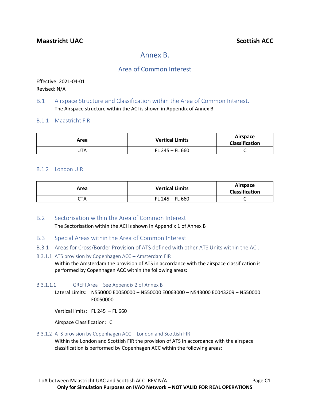# Annex B.

## Area of Common Interest

Effective: 2021-04-01 Revised: N/A

## B.1 Airspace Structure and Classification within the Area of Common Interest. The Airspace structure within the ACI is shown in Appendix of Annex B

## B.1.1 Maastricht FIR

| Area | <b>Vertical Limits</b> | Airspace<br><b>Classification</b> |
|------|------------------------|-----------------------------------|
| JTA  | FL 245 – FL 660        | ֊                                 |

## B.1.2 London UIR

| Area | <b>Vertical Limits</b> | Airspace<br><b>Classification</b> |
|------|------------------------|-----------------------------------|
| CTA  | $FL 245 - FL 660$      | ◡                                 |

- B.2 Sectorisation within the Area of Common Interest The Sectorisation within the ACI is shown in Appendix 1 of Annex B
- B.3 Special Areas within the Area of Common Interest
- B.3.1 Areas for Cross/Border Provision of ATS defined with other ATS Units within the ACI.

### B.3.1.1 ATS provision by Copenhagen ACC – Amsterdam FIR Within the Amsterdam the provision of ATS in accordance with the airspace classification is performed by Copenhagen ACC within the following areas:

B.3.1.1.1 GREFI Area – See Appendix 2 of Annex B

Lateral Limits: N550000 E0050000 – N550000 E0063000 – N543000 E0043209 – N550000 E0050000

Vertical limits: FL 245 – FL 660

Airspace Classification: C

## B.3.1.2 ATS provision by Copenhagen ACC – London and Scottish FIR

Within the London and Scottish FIR the provision of ATS in accordance with the airspace classification is performed by Copenhagen ACC within the following areas: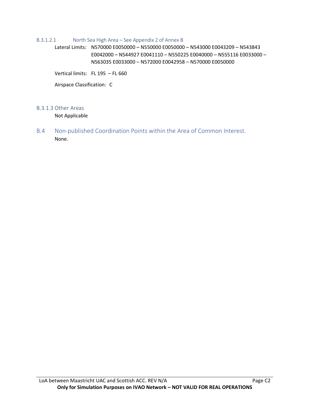#### B.3.1.2.1 North Sea High Area – See Appendix 2 of Annex B

Lateral Limits: N570000 E0050000 – N550000 E0050000 – N543000 E0043209 – N543843 E0042000 – N544927 E0041110 – N550225 E0040000 – N555116 E0033000 – N563035 E0033000 – N572000 E0042958 – N570000 E0050000

Vertical limits: FL 195 – FL 660

Airspace Classification: C

#### B.3.1.3 Other Areas

Not Applicable

B.4 Non-published Coordination Points within the Area of Common Interest. None.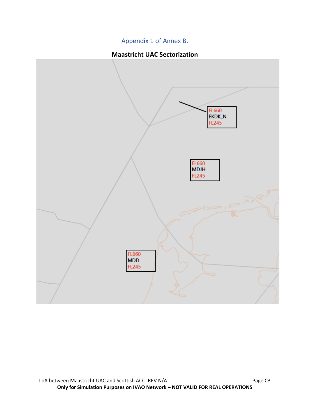## Appendix 1 of Annex B.

## **Maastricht UAC Sectorization**

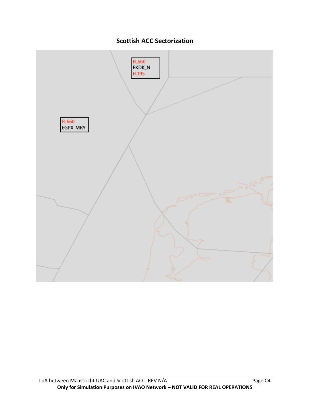

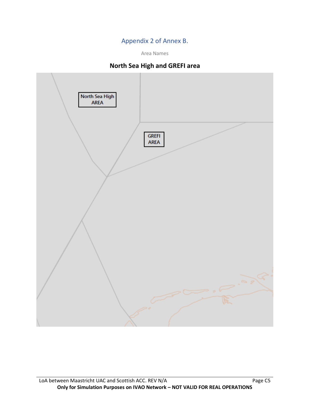## Appendix 2 of Annex B.

Area Names

## **North Sea High and GREFI area**

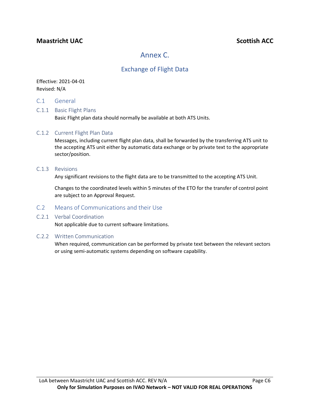## **Maastricht** UAC<sup>2</sup> **Maastricht** UAC<sup>2</sup> **Scottish ACC**

# Annex C.

## Exchange of Flight Data

## Effective: 2021-04-01 Revised: N/A

C.1 General

## C.1.1 Basic Flight Plans

Basic Flight plan data should normally be available at both ATS Units.

## C.1.2 Current Flight Plan Data

Messages, including current flight plan data, shall be forwarded by the transferring ATS unit to the accepting ATS unit either by automatic data exchange or by private text to the appropriate sector/position.

#### C.1.3 Revisions

Any significant revisions to the flight data are to be transmitted to the accepting ATS Unit.

Changes to the coordinated levels within 5 minutes of the ETO for the transfer of control point are subject to an Approval Request.

## C.2 Means of Communications and their Use

## C.2.1 Verbal Coordination

Not applicable due to current software limitations.

## C.2.2 Written Communication

When required, communication can be performed by private text between the relevant sectors or using semi-automatic systems depending on software capability.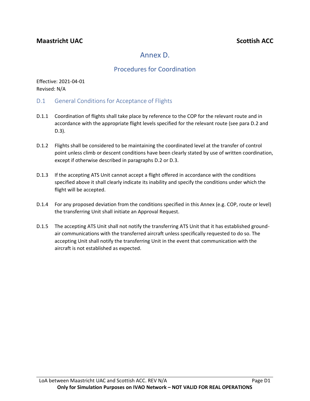# Annex D.

## Procedures for Coordination

Effective: 2021-04-01 Revised: N/A

- D.1 General Conditions for Acceptance of Flights
- D.1.1 Coordination of flights shall take place by reference to the COP for the relevant route and in accordance with the appropriate flight levels specified for the relevant route (see para D.2 and D.3).
- D.1.2 Flights shall be considered to be maintaining the coordinated level at the transfer of control point unless climb or descent conditions have been clearly stated by use of written coordination, except if otherwise described in paragraphs D.2 or D.3.
- D.1.3 If the accepting ATS Unit cannot accept a flight offered in accordance with the conditions specified above it shall clearly indicate its inability and specify the conditions under which the flight will be accepted.
- D.1.4 For any proposed deviation from the conditions specified in this Annex (e.g. COP, route or level) the transferring Unit shall initiate an Approval Request.
- D.1.5 The accepting ATS Unit shall not notify the transferring ATS Unit that it has established groundair communications with the transferred aircraft unless specifically requested to do so. The accepting Unit shall notify the transferring Unit in the event that communication with the aircraft is not established as expected.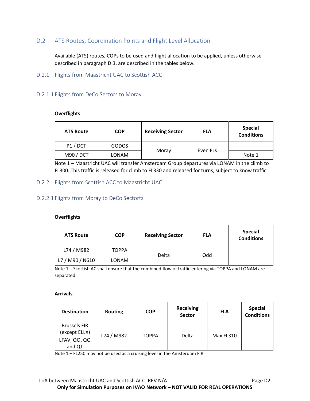## D.2 ATS Routes, Coordination Points and Flight Level Allocation

Available (ATS) routes, COPs to be used and flight allocation to be applied, unless otherwise described in paragraph D.3, are described in the tables below.

D.2.1 Flights from Maastricht UAC to Scottish ACC

## D.2.1.1 Flights from DeCo Sectors to Moray

#### **Overflights**

| <b>ATS Route</b> | <b>COP</b> | <b>Receiving Sector</b> | <b>FLA</b> | <b>Special</b><br><b>Conditions</b> |
|------------------|------------|-------------------------|------------|-------------------------------------|
| P1/DCT           | GODOS      |                         |            |                                     |
| M90 / DCT        | LONAM      | Moray                   | Even FLs   | Note 1                              |

Note 1 – Maastricht UAC will transfer Amsterdam Group departures via LONAM in the climb to FL300. This traffic is released for climb to FL330 and released for turns, subject to know traffic

## D.2.2 Flights from Scottish ACC to Maastricht UAC

#### D.2.2.1 Flights from Moray to DeCo Sectorts

#### **Overflights**

| <b>ATS Route</b> | <b>COP</b>   | <b>Receiving Sector</b> | <b>FLA</b> | <b>Special</b><br><b>Conditions</b> |
|------------------|--------------|-------------------------|------------|-------------------------------------|
| L74 / M982       | <b>TOPPA</b> |                         |            |                                     |
| L7 / M90 / N610  | LONAM        | Delta                   | Odd        |                                     |

Note 1 – Scottish AC shall ensure that the combined flow of traffic entering via TOPPA and LONAM are separated.

#### **Arrivals**

| <b>Destination</b>                   | <b>Routing</b> | <b>COP</b>   | <b>Receiving</b><br><b>Sector</b> | <b>FLA</b> | <b>Special</b><br><b>Conditions</b> |
|--------------------------------------|----------------|--------------|-----------------------------------|------------|-------------------------------------|
| <b>Brussels FIR</b><br>(except ELLX) | L74 / M982     | <b>TOPPA</b> | Delta                             | Max FL310  |                                     |
| LFAV, QO, QQ<br>and QT               |                |              |                                   |            |                                     |

Note 1 – FL250 may not be used as a cruising level in the Amsterdam FIR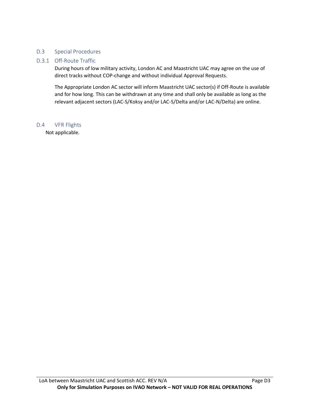## D.3 Special Procedures

## D.3.1 Off-Route Traffic

During hours of low military activity, London AC and Maastricht UAC may agree on the use of direct tracks without COP-change and without individual Approval Requests.

The Appropriate London AC sector will inform Maastricht UAC sector(s) if Off-Route is available and for how long. This can be withdrawn at any time and shall only be available as long as the relevant adjacent sectors (LAC-S/Koksy and/or LAC-S/Delta and/or LAC-N/Delta) are online.

## D.4 VFR Flights

Not applicable.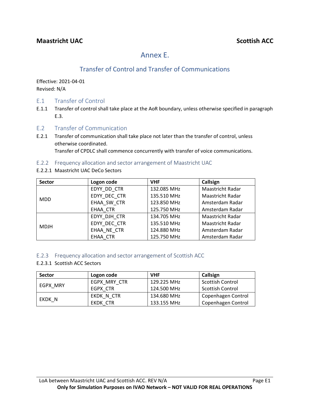# Annex E.

# Transfer of Control and Transfer of Communications

Effective: 2021-04-01 Revised: N/A

- E.1 Transfer of Control
- E.1.1 Transfer of control shall take place at the AoR boundary, unless otherwise specified in paragraph E.3.
- E.2 Transfer of Communication
- E.2.1 Transfer of communication shall take place not later than the transfer of control, unless otherwise coordinated.

Transfer of CPDLC shall commence concurrently with transfer of voice communications.

## E.2.2 Frequency allocation and sector arrangement of Maastricht UAC

E.2.2.1 Maastricht UAC DeCo Sectors

| <b>Sector</b> | Logon code   | <b>VHF</b>  | Callsign                |
|---------------|--------------|-------------|-------------------------|
|               | EDYY_DD_CTR  | 132.085 MHz | <b>Maastricht Radar</b> |
| <b>MDD</b>    | EDYY DEC CTR | 135.510 MHz | <b>Maastricht Radar</b> |
|               | EHAA SW CTR  | 123.850 MHz | Amsterdam Radar         |
|               | EHAA CTR     | 125.750 MHz | Amsterdam Radar         |
| <b>MDJH</b>   | EDYY DJH CTR | 134.705 MHz | Maastricht Radar        |
|               | EDYY DEC CTR | 135.510 MHz | <b>Maastricht Radar</b> |
|               | EHAA NE CTR  | 124.880 MHz | Amsterdam Radar         |
|               | EHAA CTR     | 125.750 MHz | Amsterdam Radar         |

## E.2.3 Frequency allocation and sector arrangement of Scottish ACC

## E.2.3.1 Scottish ACC Sectors

| <b>Sector</b> | Logon code   | <b>VHF</b>  | Callsign                |
|---------------|--------------|-------------|-------------------------|
| EGPX MRY      | EGPX MRY CTR | 129.225 MHz | <b>Scottish Control</b> |
|               | EGPX CTR     | 124.500 MHz | <b>Scottish Control</b> |
| EKDK N        | EKDK N CTR   | 134.680 MHz | Copenhagen Control      |
|               | EKDK CTR     | 133.155 MHz | Copenhagen Control      |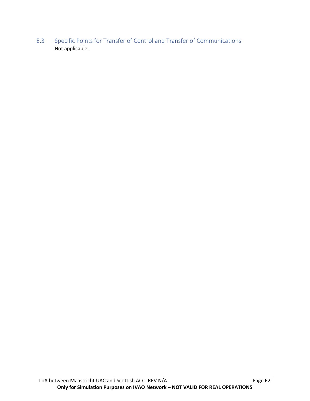E.3 Specific Points for Transfer of Control and Transfer of Communications Not applicable.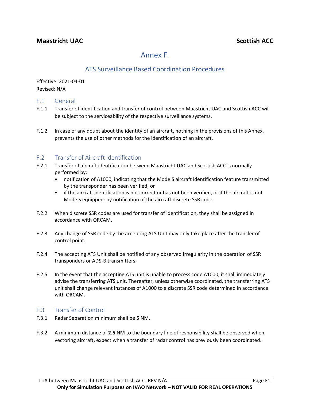# Annex F.

# ATS Surveillance Based Coordination Procedures

Effective: 2021-04-01 Revised: N/A

## F.1 General

- F.1.1 Transfer of identification and transfer of control between Maastricht UAC and Scottish ACC will be subject to the serviceability of the respective surveillance systems.
- F.1.2 In case of any doubt about the identity of an aircraft, nothing in the provisions of this Annex, prevents the use of other methods for the identification of an aircraft.

## F.2 Transfer of Aircraft Identification

- F.2.1 Transfer of aircraft identification between Maastricht UAC and Scottish ACC is normally performed by:
	- notification of A1000, indicating that the Mode S aircraft identification feature transmitted by the transponder has been verified; or
	- if the aircraft identification is not correct or has not been verified, or if the aircraft is not Mode S equipped: by notification of the aircraft discrete SSR code.
- F.2.2 When discrete SSR codes are used for transfer of identification, they shall be assigned in accordance with ORCAM.
- F.2.3 Any change of SSR code by the accepting ATS Unit may only take place after the transfer of control point.
- F.2.4 The accepting ATS Unit shall be notified of any observed irregularity in the operation of SSR transponders or ADS-B transmitters.
- F.2.5 In the event that the accepting ATS unit is unable to process code A1000, it shall immediately advise the transferring ATS unit. Thereafter, unless otherwise coordinated, the transferring ATS unit shall change relevant instances of A1000 to a discrete SSR code determined in accordance with ORCAM.

## F.3 Transfer of Control

- F.3.1 Radar Separation minimum shall be **5** NM.
- F.3.2 A minimum distance of **2.5** NM to the boundary line of responsibility shall be observed when vectoring aircraft, expect when a transfer of radar control has previously been coordinated.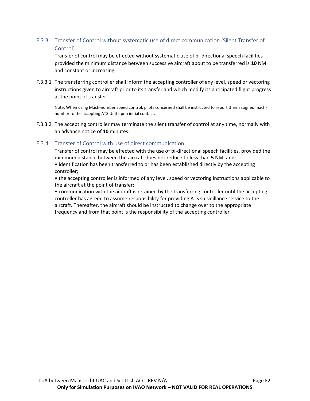## F.3.3 Transfer of Control without systematic use of direct communication (Silent Transfer of Control)

Transfer of control may be effected without systematic use of bi-directional speech facilities provided the minimum distance between successive aircraft about to be transferred is **10** NM and constant or increasing.

F.3.3.1 The transferring controller shall inform the accepting controller of any level, speed or vectoring instructions given to aircraft prior to its transfer and which modify its anticipated flight progress at the point of transfer.

Note: When using Mach-number speed control, pilots concerned shall be instructed to report their assigned machnumber to the accepting ATS Unit upon initial contact.

F.3.3.2 The accepting controller may terminate the silent transfer of control at any time, normally with an advance notice of **10** minutes.

## F.3.4 Transfer of Control with use of direct communication

Transfer of control may be effected with the use of bi-directional speech facilities, provided the minimum distance between the aircraft does not reduce to less than **5** NM, and:

• identification has been transferred to or has been established directly by the accepting controller;

• the accepting controller is informed of any level, speed or vectoring instructions applicable to the aircraft at the point of transfer;

• communication with the aircraft is retained by the transferring controller until the accepting controller has agreed to assume responsibility for providing ATS surveillance service to the aircraft. Thereafter, the aircraft should be instructed to change over to the appropriate frequency and from that point is the responsibility of the accepting controller.